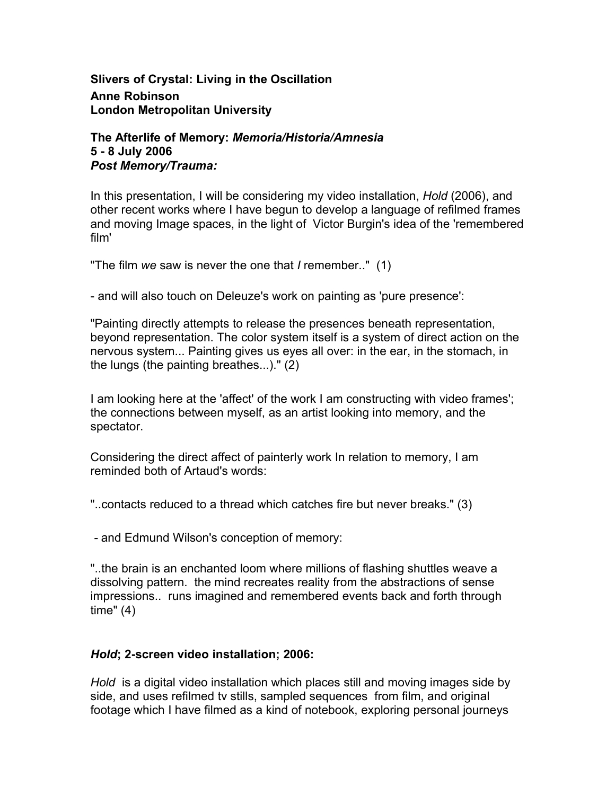## **Slivers of Crystal: Living in the Oscillation Anne Robinson London Metropolitan University**

### **The Afterlife of Memory:** *Memoria/Historia/Amnesia* **5 - 8 July 2006** *Post Memory/Trauma:*

In this presentation, I will be considering my video installation, *Hold* (2006), and other recent works where I have begun to develop a language of refilmed frames and moving Image spaces, in the light of Victor Burgin's idea of the 'remembered film'

"The film *we* saw is never the one that *I* remember.." (1)

- and will also touch on Deleuze's work on painting as 'pure presence':

"Painting directly attempts to release the presences beneath representation, beyond representation. The color system itself is a system of direct action on the nervous system... Painting gives us eyes all over: in the ear, in the stomach, in the lungs (the painting breathes...)." (2)

I am looking here at the 'affect' of the work I am constructing with video frames'; the connections between myself, as an artist looking into memory, and the spectator.

Considering the direct affect of painterly work In relation to memory, I am reminded both of Artaud's words:

"..contacts reduced to a thread which catches fire but never breaks." (3)

*-* and Edmund Wilson's conception of memory:

"..the brain is an enchanted loom where millions of flashing shuttles weave a dissolving pattern. the mind recreates reality from the abstractions of sense impressions.. runs imagined and remembered events back and forth through time" (4)

## *Hold***; 2-screen video installation; 2006:**

*Hold* is a digital video installation which places still and moving images side by side, and uses refilmed tv stills, sampled sequences from film, and original footage which I have filmed as a kind of notebook, exploring personal journeys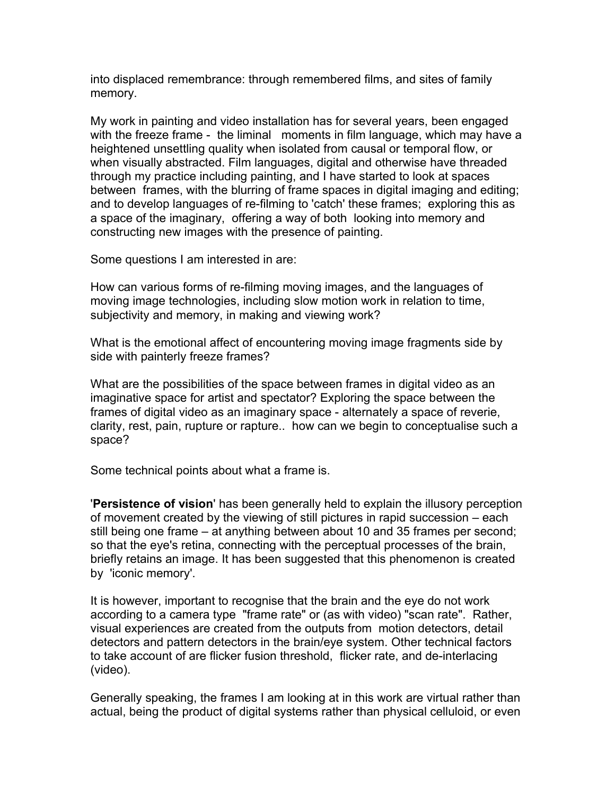into displaced remembrance: through remembered films, and sites of family memory.

My work in painting and video installation has for several years, been engaged with the freeze frame - the liminal moments in film language, which may have a heightened unsettling quality when isolated from causal or temporal flow, or when visually abstracted. Film languages, digital and otherwise have threaded through my practice including painting, and I have started to look at spaces between frames, with the blurring of frame spaces in digital imaging and editing; and to develop languages of re-filming to 'catch' these frames; exploring this as a space of the imaginary, offering a way of both looking into memory and constructing new images with the presence of painting.

Some questions I am interested in are:

How can various forms of re-filming moving images, and the languages of moving image technologies, including slow motion work in relation to time, subjectivity and memory, in making and viewing work?

What is the emotional affect of encountering moving image fragments side by side with painterly freeze frames?

What are the possibilities of the space between frames in digital video as an imaginative space for artist and spectator? Exploring the space between the frames of digital video as an imaginary space - alternately a space of reverie, clarity, rest, pain, rupture or rapture.. how can we begin to conceptualise such a space?

Some technical points about what a frame is.

'**Persistence of vision**' has been generally held to explain the illusory perception of movement created by the viewing of still pictures in rapid succession – each still being one frame – at anything between about 10 and 35 frames per second; so that the eye's retina, connecting with the perceptual processes of the brain, briefly retains an image. It has been suggested that this phenomenon is created by 'iconic memory'.

It is however, important to recognise that the brain and the eye do not work according to a camera type "frame rate" or (as with video) "scan rate". Rather, visual experiences are created from the outputs from motion detectors, detail detectors and pattern detectors in the brain/eye system. Other technical factors to take account of are flicker fusion threshold, flicker rate, and de-interlacing (video).

Generally speaking, the frames I am looking at in this work are virtual rather than actual, being the product of digital systems rather than physical celluloid, or even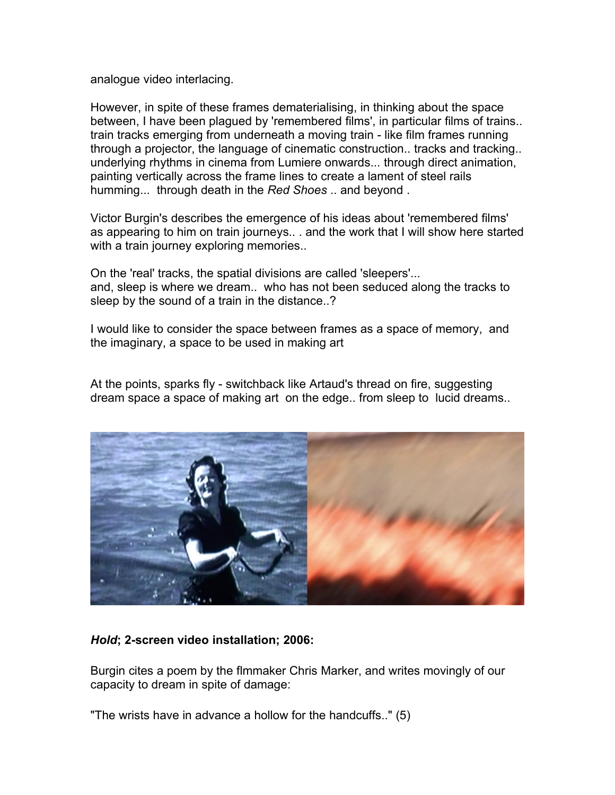analogue video interlacing.

However, in spite of these frames dematerialising, in thinking about the space between, I have been plagued by 'remembered films', in particular films of trains.. train tracks emerging from underneath a moving train - like film frames running through a projector, the language of cinematic construction.. tracks and tracking.. underlying rhythms in cinema from Lumiere onwards... through direct animation, painting vertically across the frame lines to create a lament of steel rails humming... through death in the *Red Shoes* .. and beyond .

Victor Burgin's describes the emergence of his ideas about 'remembered films' as appearing to him on train journeys.. . and the work that I will show here started with a train journey exploring memories..

On the 'real' tracks, the spatial divisions are called 'sleepers'... and, sleep is where we dream.. who has not been seduced along the tracks to sleep by the sound of a train in the distance..?

I would like to consider the space between frames as a space of memory, and the imaginary, a space to be used in making art

At the points, sparks fly - switchback like Artaud's thread on fire, suggesting dream space a space of making art on the edge.. from sleep to lucid dreams..



# *Hold***; 2-screen video installation; 2006:**

Burgin cites a poem by the flmmaker Chris Marker, and writes movingly of our capacity to dream in spite of damage:

"The wrists have in advance a hollow for the handcuffs.." (5)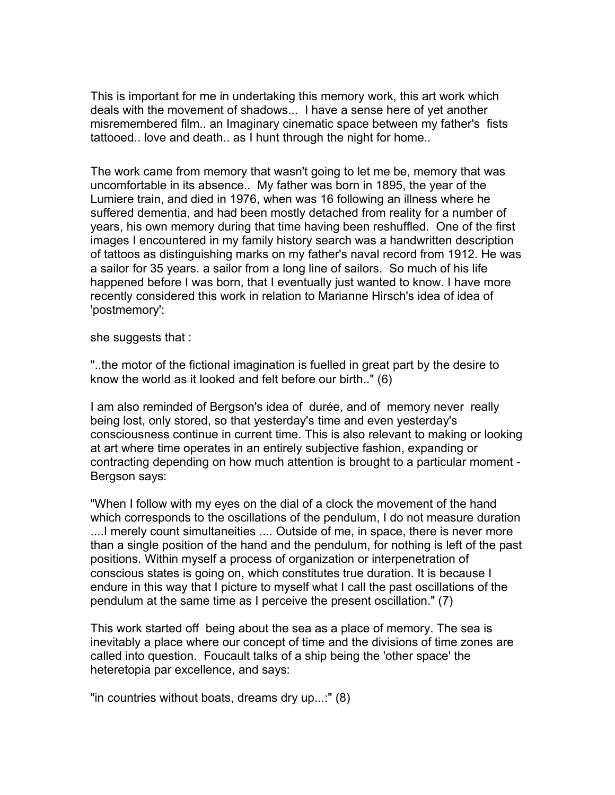This is important for me in undertaking this memory work, this art work which deals with the movement of shadows... I have a sense here of yet another misremembered film.. an Imaginary cinematic space between my father's fists tattooed.. love and death.. as I hunt through the night for home..

The work came from memory that wasn't going to let me be, memory that was uncomfortable in its absence.. My father was born in 1895, the year of the Lumiere train, and died in 1976, when was 16 following an illness where he suffered dementia, and had been mostly detached from reality for a number of years, his own memory during that time having been reshuffled. One of the first images I encountered in my family history search was a handwritten description of tattoos as distinguishing marks on my father's naval record from 1912. He was a sailor for 35 years. a sailor from a long line of sailors. So much of his life happened before I was born, that I eventually just wanted to know. I have more recently considered this work in relation to Marianne Hirsch's idea of idea of 'postmemory':

she suggests that :

"..the motor of the fictional imagination is fuelled in great part by the desire to know the world as it looked and felt before our birth.." (6)

I am also reminded of Bergson's idea of durée, and of memory never really being lost, only stored, so that yesterday's time and even yesterday's consciousness continue in current time. This is also relevant to making or looking at art where time operates in an entirely subjective fashion, expanding or contracting depending on how much attention is brought to a particular moment - Bergson says:

"When I follow with my eyes on the dial of a clock the movement of the hand which corresponds to the oscillations of the pendulum, I do not measure duration ....I merely count simultaneities .... Outside of me, in space, there is never more than a single position of the hand and the pendulum, for nothing is left of the past positions. Within myself a process of organization or interpenetration of conscious states is going on, which constitutes true duration. It is because I endure in this way that I picture to myself what I call the past oscillations of the pendulum at the same time as I perceive the present oscillation." (7)

This work started off being about the sea as a place of memory. The sea is inevitably a place where our concept of time and the divisions of time zones are called into question. Foucault talks of a ship being the 'other space' the heteretopia par excellence, and says:

"in countries without boats, dreams dry up...:" (8)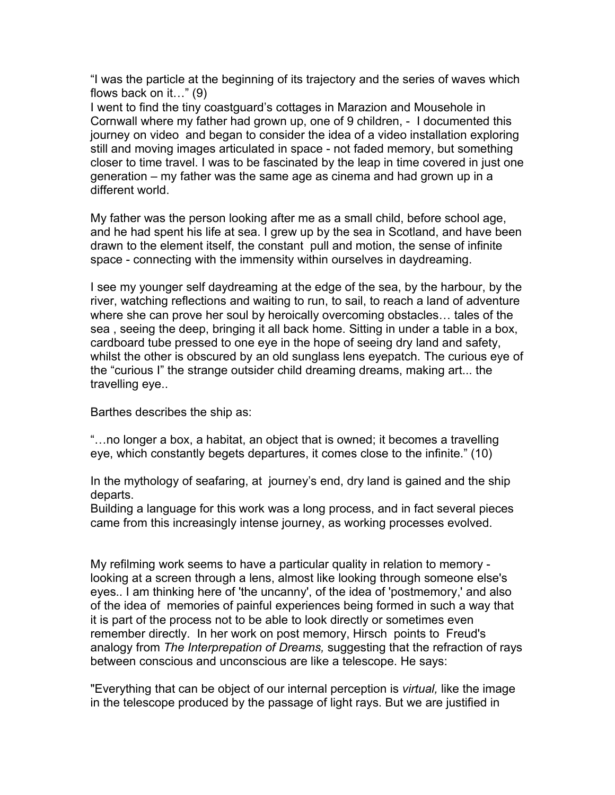"I was the particle at the beginning of its trajectory and the series of waves which flows back on it…" (9)

I went to find the tiny coastguard's cottages in Marazion and Mousehole in Cornwall where my father had grown up, one of 9 children, - I documented this journey on video and began to consider the idea of a video installation exploring still and moving images articulated in space - not faded memory, but something closer to time travel. I was to be fascinated by the leap in time covered in just one generation – my father was the same age as cinema and had grown up in a different world.

My father was the person looking after me as a small child, before school age, and he had spent his life at sea. I grew up by the sea in Scotland, and have been drawn to the element itself, the constant pull and motion, the sense of infinite space - connecting with the immensity within ourselves in daydreaming.

I see my younger self daydreaming at the edge of the sea, by the harbour, by the river, watching reflections and waiting to run, to sail, to reach a land of adventure where she can prove her soul by heroically overcoming obstacles… tales of the sea , seeing the deep, bringing it all back home. Sitting in under a table in a box, cardboard tube pressed to one eye in the hope of seeing dry land and safety, whilst the other is obscured by an old sunglass lens eyepatch. The curious eye of the "curious I" the strange outsider child dreaming dreams, making art... the travelling eye..

Barthes describes the ship as:

"…no longer a box, a habitat, an object that is owned; it becomes a travelling eye, which constantly begets departures, it comes close to the infinite." (10)

In the mythology of seafaring, at journey's end, dry land is gained and the ship departs.

Building a language for this work was a long process, and in fact several pieces came from this increasingly intense journey, as working processes evolved.

My refilming work seems to have a particular quality in relation to memory looking at a screen through a lens, almost like looking through someone else's eyes.. I am thinking here of 'the uncanny', of the idea of 'postmemory,' and also of the idea of memories of painful experiences being formed in such a way that it is part of the process not to be able to look directly or sometimes even remember directly. In her work on post memory, Hirsch points to Freud's analogy from *The Interprepation of Dreams,* suggesting that the refraction of rays between conscious and unconscious are like a telescope. He says:

"Everything that can be object of our internal perception is *virtual,* like the image in the telescope produced by the passage of light rays. But we are justified in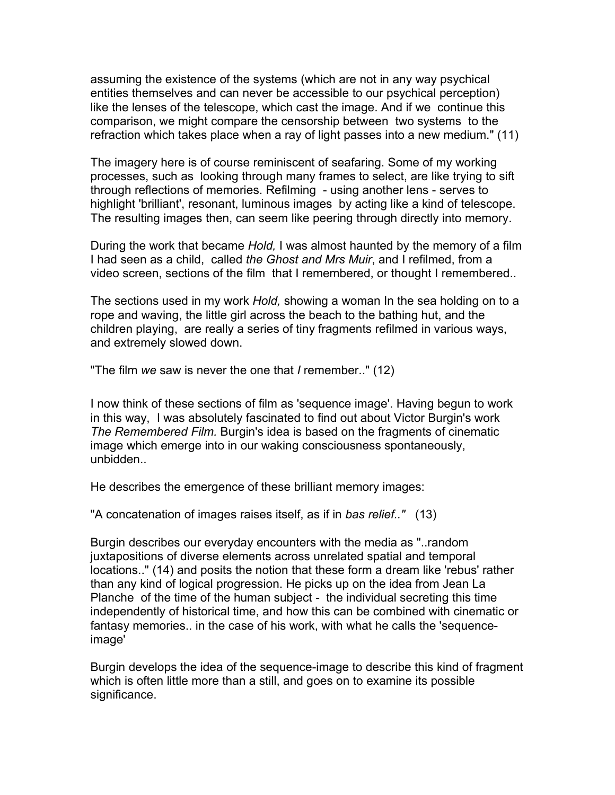assuming the existence of the systems (which are not in any way psychical entities themselves and can never be accessible to our psychical perception) like the lenses of the telescope, which cast the image. And if we continue this comparison, we might compare the censorship between two systems to the refraction which takes place when a ray of light passes into a new medium." (11)

The imagery here is of course reminiscent of seafaring. Some of my working processes, such as looking through many frames to select, are like trying to sift through reflections of memories. Refilming - using another lens - serves to highlight 'brilliant', resonant, luminous images by acting like a kind of telescope. The resulting images then, can seem like peering through directly into memory.

During the work that became *Hold,* I was almost haunted by the memory of a film I had seen as a child, called *the Ghost and Mrs Muir*, and I refilmed, from a video screen, sections of the film that I remembered, or thought I remembered..

The sections used in my work *Hold,* showing a woman In the sea holding on to a rope and waving, the little girl across the beach to the bathing hut, and the children playing,are really a series of tiny fragments refilmed in various ways, and extremely slowed down.

"The film *we* saw is never the one that *I* remember.." (12)

I now think of these sections of film as 'sequence image'. Having begun to work in this way, I was absolutely fascinated to find out about Victor Burgin's work *The Remembered Film.* Burgin's idea is based on the fragments of cinematic image which emerge into in our waking consciousness spontaneously, unbidden..

He describes the emergence of these brilliant memory images:

"A concatenation of images raises itself, as if in *bas relief.."* (13)

Burgin describes our everyday encounters with the media as "..random juxtapositions of diverse elements across unrelated spatial and temporal locations.." (14) and posits the notion that these form a dream like 'rebus' rather than any kind of logical progression. He picks up on the idea from Jean La Planche of the time of the human subject - the individual secreting this time independently of historical time, and how this can be combined with cinematic or fantasy memories.. in the case of his work, with what he calls the 'sequenceimage'

Burgin develops the idea of the sequence-image to describe this kind of fragment which is often little more than a still, and goes on to examine its possible significance.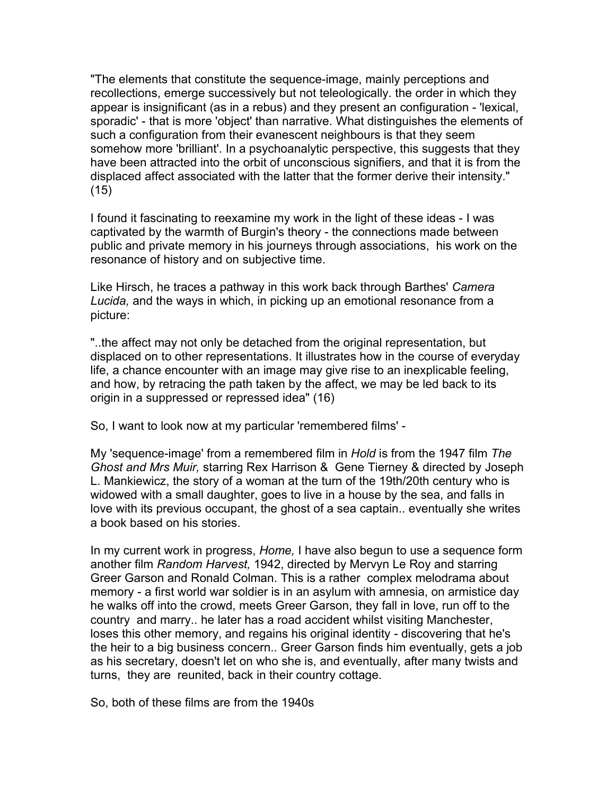"The elements that constitute the sequence-image, mainly perceptions and recollections, emerge successively but not teleologically. the order in which they appear is insignificant (as in a rebus) and they present an configuration - 'lexical, sporadic' - that is more 'object' than narrative. What distinguishes the elements of such a configuration from their evanescent neighbours is that they seem somehow more 'brilliant'. In a psychoanalytic perspective, this suggests that they have been attracted into the orbit of unconscious signifiers, and that it is from the displaced affect associated with the latter that the former derive their intensity." (15)

I found it fascinating to reexamine my work in the light of these ideas - I was captivated by the warmth of Burgin's theory - the connections made between public and private memory in his journeys through associations, his work on the resonance of history and on subjective time.

Like Hirsch, he traces a pathway in this work back through Barthes' *Camera Lucida,* and the ways in which, in picking up an emotional resonance from a picture:

"..the affect may not only be detached from the original representation, but displaced on to other representations. It illustrates how in the course of everyday life, a chance encounter with an image may give rise to an inexplicable feeling, and how, by retracing the path taken by the affect, we may be led back to its origin in a suppressed or repressed idea" (16)

So, I want to look now at my particular 'remembered films' -

My 'sequence-image' from a remembered film in *Hold* is from the 1947 film *The Ghost and Mrs Muir,* starring Rex Harrison & Gene Tierney & directed by Joseph L. Mankiewicz, the story of a woman at the turn of the 19th/20th century who is widowed with a small daughter, goes to live in a house by the sea, and falls in love with its previous occupant, the ghost of a sea captain.. eventually she writes a book based on his stories.

In my current work in progress, *Home,* I have also begun to use a sequence form another film *Random Harvest,* 1942, directed by Mervyn Le Roy and starring Greer Garson and Ronald Colman. This is a rather complex melodrama about memory - a first world war soldier is in an asylum with amnesia, on armistice day he walks off into the crowd, meets Greer Garson, they fall in love, run off to the country and marry.. he later has a road accident whilst visiting Manchester, loses this other memory, and regains his original identity - discovering that he's the heir to a big business concern.. Greer Garson finds him eventually, gets a job as his secretary, doesn't let on who she is, and eventually, after many twists and turns, they are reunited, back in their country cottage.

So, both of these films are from the 1940s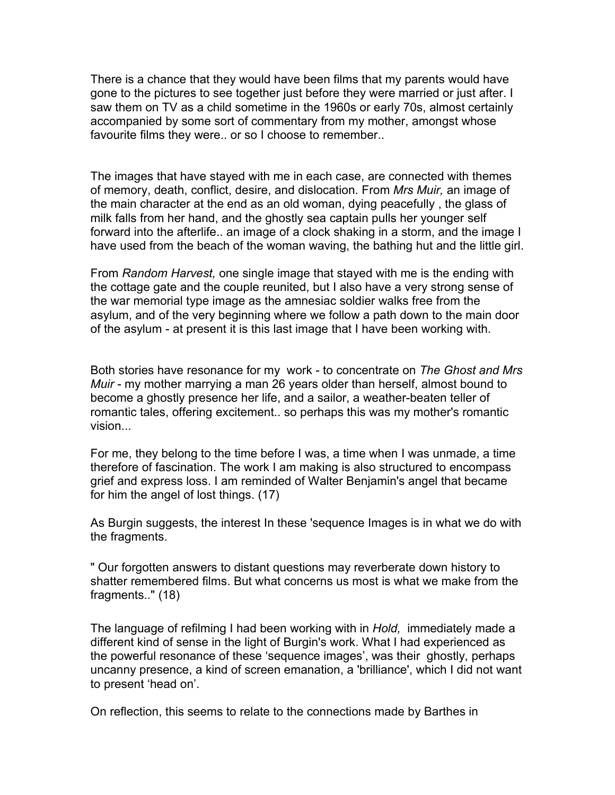There is a chance that they would have been films that my parents would have gone to the pictures to see together just before they were married or just after. I saw them on TV as a child sometime in the 1960s or early 70s, almost certainly accompanied by some sort of commentary from my mother, amongst whose favourite films they were.. or so I choose to remember..

The images that have stayed with me in each case, are connected with themes of memory, death, conflict, desire, and dislocation. From *Mrs Muir,* an image of the main character at the end as an old woman, dying peacefully , the glass of milk falls from her hand, and the ghostly sea captain pulls her younger self forward into the afterlife.. an image of a clock shaking in a storm, and the image I have used from the beach of the woman waving, the bathing hut and the little girl.

From *Random Harvest,* one single image that stayed with me is the ending with the cottage gate and the couple reunited, but I also have a very strong sense of the war memorial type image as the amnesiac soldier walks free from the asylum, and of the very beginning where we follow a path down to the main door of the asylum - at present it is this last image that I have been working with.

Both stories have resonance for my work - to concentrate on *The Ghost and Mrs Muir* - my mother marrying a man 26 years older than herself, almost bound to become a ghostly presence her life, and a sailor, a weather-beaten teller of romantic tales, offering excitement.. so perhaps this was my mother's romantic vision...

For me, they belong to the time before I was, a time when I was unmade, a time therefore of fascination. The work I am making is also structured to encompass grief and express loss. I am reminded of Walter Benjamin's angel that became for him the angel of lost things. (17)

As Burgin suggests, the interest In these 'sequence Images is in what we do with the fragments.

" Our forgotten answers to distant questions may reverberate down history to shatter remembered films. But what concerns us most is what we make from the fragments.." (18)

The language of refilming I had been working with in *Hold,* immediately made a different kind of sense in the light of Burgin's work. What I had experienced as the powerful resonance of these 'sequence images', was their ghostly, perhaps uncanny presence, a kind of screen emanation, a 'brilliance', which I did not want to present 'head on'.

On reflection, this seems to relate to the connections made by Barthes in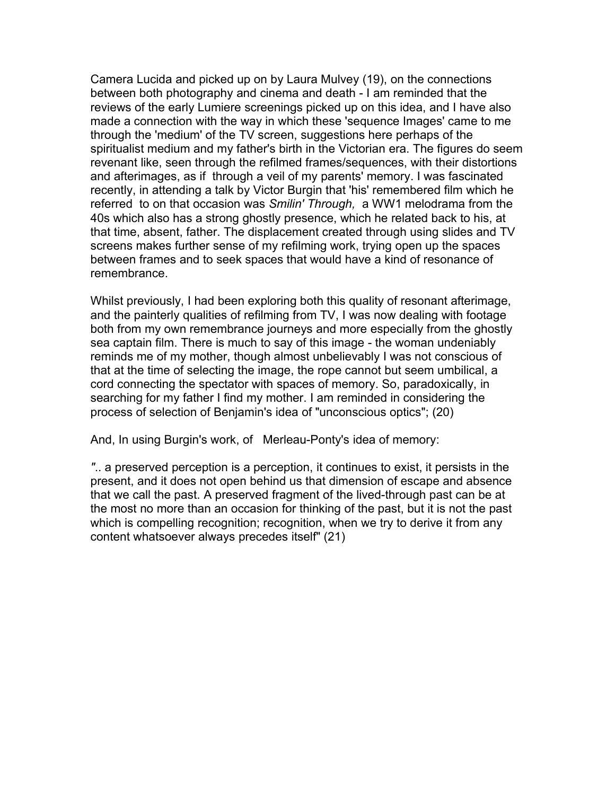Camera Lucida and picked up on by Laura Mulvey (19), on the connections between both photography and cinema and death - I am reminded that the reviews of the early Lumiere screenings picked up on this idea, and I have also made a connection with the way in which these 'sequence Images' came to me through the 'medium' of the TV screen, suggestions here perhaps of the spiritualist medium and my father's birth in the Victorian era. The figures do seem revenant like, seen through the refilmed frames/sequences, with their distortions and afterimages, as if through a veil of my parents' memory. I was fascinated recently, in attending a talk by Victor Burgin that 'his' remembered film which he referred to on that occasion was *Smilin' Through,* a WW1 melodrama from the 40s which also has a strong ghostly presence, which he related back to his, at that time, absent, father. The displacement created through using slides and TV screens makes further sense of my refilming work, trying open up the spaces between frames and to seek spaces that would have a kind of resonance of remembrance.

Whilst previously, I had been exploring both this quality of resonant afterimage, and the painterly qualities of refilming from TV, I was now dealing with footage both from my own remembrance journeys and more especially from the ghostly sea captain film. There is much to say of this image - the woman undeniably reminds me of my mother, though almost unbelievably I was not conscious of that at the time of selecting the image, the rope cannot but seem umbilical, a cord connecting the spectator with spaces of memory. So, paradoxically, in searching for my father I find my mother. I am reminded in considering the process of selection of Benjamin's idea of "unconscious optics"; (20)

And, In using Burgin's work, of Merleau-Ponty's idea of memory:

*"*.. a preserved perception is a perception, it continues to exist, it persists in the present, and it does not open behind us that dimension of escape and absence that we call the past. A preserved fragment of the lived-through past can be at the most no more than an occasion for thinking of the past, but it is not the past which is compelling recognition; recognition, when we try to derive it from any content whatsoever always precedes itself" (21)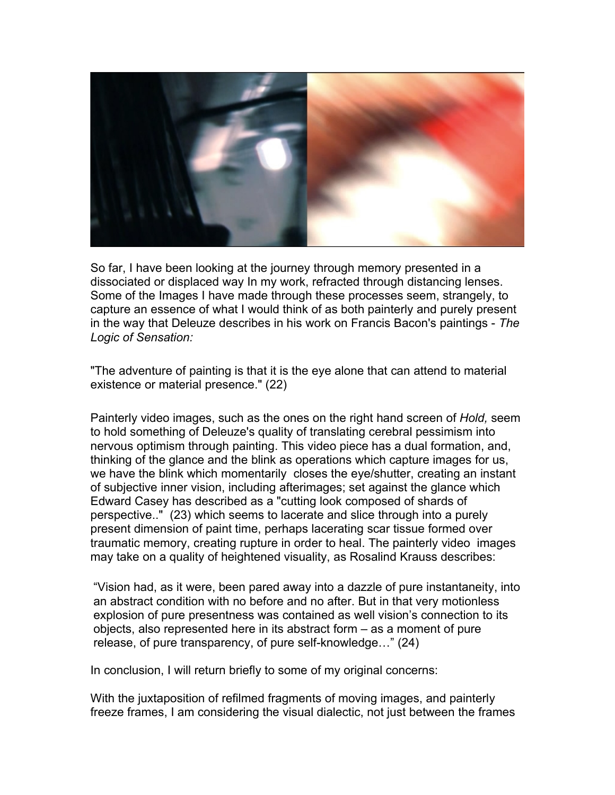

So far, I have been looking at the journey through memory presented in a dissociated or displaced way In my work, refracted through distancing lenses. Some of the Images I have made through these processes seem, strangely, to capture an essence of what I would think of as both painterly and purely present in the way that Deleuze describes in his work on Francis Bacon's paintings - *The Logic of Sensation:*

"The adventure of painting is that it is the eye alone that can attend to material existence or material presence." (22)

Painterly video images, such as the ones on the right hand screen of *Hold,* seem to hold something of Deleuze's quality of translating cerebral pessimism into nervous optimism through painting. This video piece has a dual formation, and, thinking of the glance and the blink as operations which capture images for us, we have the blink which momentarily closes the eye/shutter, creating an instant of subjective inner vision, including afterimages; set against the glance which Edward Casey has described as a "cutting look composed of shards of perspective.." (23) which seems to lacerate and slice through into a purely present dimension of paint time, perhaps lacerating scar tissue formed over traumatic memory, creating rupture in order to heal. The painterly video images may take on a quality of heightened visuality, as Rosalind Krauss describes:

"Vision had, as it were, been pared away into a dazzle of pure instantaneity, into an abstract condition with no before and no after. But in that very motionless explosion of pure presentness was contained as well vision's connection to its objects, also represented here in its abstract form – as a moment of pure release, of pure transparency, of pure self-knowledge…" (24)

In conclusion, I will return briefly to some of my original concerns:

With the juxtaposition of refilmed fragments of moving images, and painterly freeze frames, I am considering the visual dialectic, not just between the frames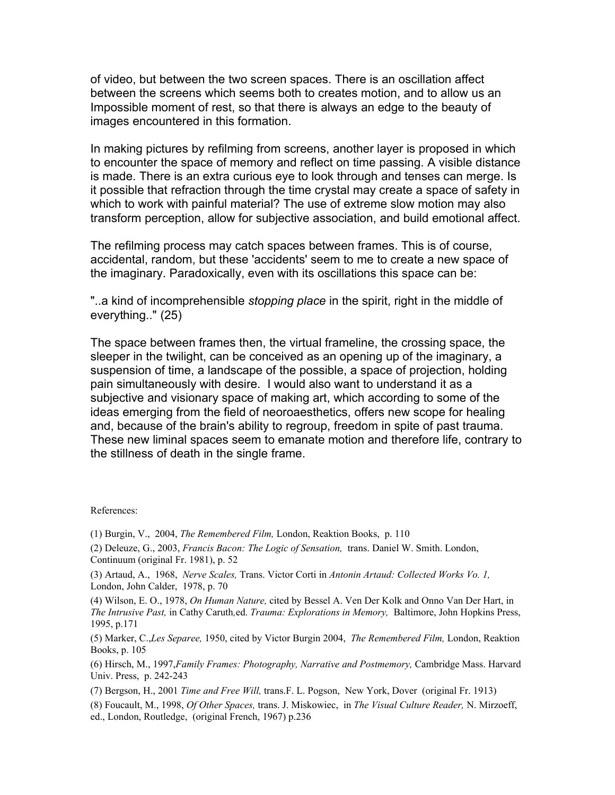of video, but between the two screen spaces. There is an oscillation affect between the screens which seems both to creates motion, and to allow us an Impossible moment of rest, so that there is always an edge to the beauty of images encountered in this formation.

In making pictures by refilming from screens, another layer is proposed in which to encounter the space of memory and reflect on time passing. A visible distance is made. There is an extra curious eye to look through and tenses can merge. Is it possible that refraction through the time crystal may create a space of safety in which to work with painful material? The use of extreme slow motion may also transform perception, allow for subjective association, and build emotional affect.

The refilming process may catch spaces between frames. This is of course, accidental, random, but these 'accidents' seem to me to create a new space of the imaginary. Paradoxically, even with its oscillations this space can be:

"..a kind of incomprehensible *stopping place* in the spirit, right in the middle of everything.." (25)

The space between frames then, the virtual frameline, the crossing space, the sleeper in the twilight, can be conceived as an opening up of the imaginary, a suspension of time, a landscape of the possible, a space of projection, holding pain simultaneously with desire. I would also want to understand it as a subjective and visionary space of making art, which according to some of the ideas emerging from the field of neoroaesthetics, offers new scope for healing and, because of the brain's ability to regroup, freedom in spite of past trauma. These new liminal spaces seem to emanate motion and therefore life, contrary to the stillness of death in the single frame.

#### References:

(1) Burgin, V., 2004, *The Remembered Film,* London, Reaktion Books, p. 110

(2) Deleuze, G., 2003, *Francis Bacon: The Logic of Sensation,* trans. Daniel W. Smith. London, Continuum (original Fr. 1981), p. 52

(3) Artaud, A., 1968, *Nerve Scales,* Trans. Victor Corti in *Antonin Artaud: Collected Works Vo. 1,* London, John Calder, 1978, p. 70

(4) Wilson, E. O., 1978, *On Human Nature,* cited by Bessel A. Ven Der Kolk and Onno Van Der Hart, in *The Intrusive Past,* in Cathy Caruth*,*ed. *Trauma: Explorations in Memory,* Baltimore, John Hopkins Press, 1995, p.171

(5) Marker, C.,*Les Separee,* 1950, cited by Victor Burgin 2004, *The Remembered Film,* London, Reaktion Books, p. 105

(6) Hirsch, M., 1997,*Family Frames: Photography, Narrative and Postmemory,* Cambridge Mass. Harvard Univ. Press, p. 242-243

(7) Bergson, H., 2001 *Time and Free Will,* trans.F. L. Pogson, New York, Dover (original Fr. 1913)

(8) Foucault, M., 1998, *Of Other Spaces,* trans. J. Miskowiec, in *The Visual Culture Reader,* N. Mirzoeff, ed., London, Routledge, (original French, 1967) p.236